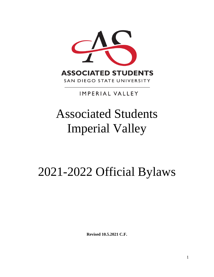

# **IMPERIAL VALLEY**

# Associated Students Imperial Valley

# 2021-2022 Official Bylaws

**Revised 10.5.2021 C.F.**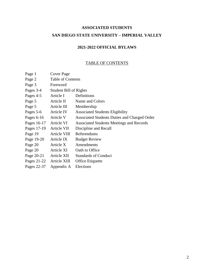# **ASSOCIATED STUDENTS SAN DIEGO STATE UNIVERSITY – IMPERIAL VALLEY**

# **2021-2022 OFFICIAL BYLAWS**

# TABLE OF CONTENTS

| Page 1                 | Cover Page                    |                                              |
|------------------------|-------------------------------|----------------------------------------------|
| Page 2                 | <b>Table of Contents</b>      |                                              |
| Page 3                 | Foreword                      |                                              |
| Pages 3-4              | <b>Student Bill of Rights</b> |                                              |
| Pages 4-5              | Article I                     | Definitions                                  |
| Page 5                 | Article II                    | Name and Colors                              |
| Page 5                 | Article III                   | Membership                                   |
| Pages 5-6              | Article IV                    | <b>Associated Students Eligibility</b>       |
| Pages $6-16$           | Article V                     | Associated Students Duties and Charged Order |
| Pages 16-17 Article VI |                               | Associated Students Meetings and Records     |
| Pages 17-19            | Article VII                   | Discipline and Recall                        |
| Page 19                | Article VIII                  | Referendums                                  |
| Page 19-20             | Article IX                    | <b>Budget Review</b>                         |
| Page 20                | Article X                     | Amendments                                   |
| Page 20                | Article XI                    | Oath to Office                               |
| Page 20-21             | Article XII                   | <b>Standards of Conduct</b>                  |
| Pages 21-22            | Article XIII                  | Office Etiquette                             |
| Pages 22-37            | Appendix A                    | Elections                                    |
|                        |                               |                                              |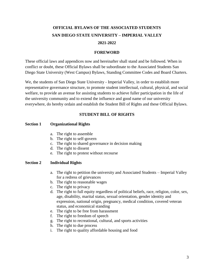# **OFFICIAL BYLAWS OF THE ASSOCIATED STUDENTS SAN DIEGO STATE UNIVERSITY – IMPERIAL VALLEY 2021-2022**

## **FOREWORD**

These official laws and appendices now and hereinafter shall stand and be followed. When in conflict or doubt, these Official Bylaws shall be subordinate to the Associated Students San Diego State University (West Campus) Bylaws, Standing Committee Codes and Board Charters.

We, the students of San Diego State University - Imperial Valley, in order to establish more representative governance structure, to promote student intellectual, cultural, physical, and social welfare, to provide an avenue for assisting students to achieve fuller participation in the life of the university community and to extend the influence and good name of our university everywhere, do hereby ordain and establish the Student Bill of Rights and these Official Bylaws.

# **STUDENT BILL OF RIGHTS**

### **Section 1 Organizational Rights**

- a. The right to assemble
- b. The right to self-govern
- c. The right to shared governance in decision making
- d. The right to dissent
- e. The right to protest without recourse

# **Section 2 Individual Rights**

- a. The right to petition the university and Associated Students Imperial Valley for a redress of grievances
- b. The right to reasonable wages
- c. The right to privacy
- d. The right to full equity regardless of political beliefs, race, religion, color, sex, age, disability, marital status, sexual orientation, gender identity and expression, national origin, pregnancy, medical condition, covered veteran status, and economical standing
- e. The right to be free from harassment
- f. The right to freedom of speech
- g. The right to recreational, cultural, and sports activities
- h. The right to due process
- i. The right to quality affordable housing and food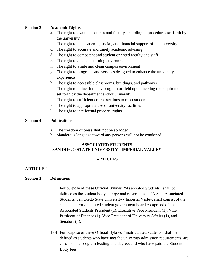# **Section 3 Academic Rights**

- a. The right to evaluate courses and faculty according to procedures set forth by the university
- b. The right to the academic, social, and financial support of the university
- c. The right to accurate and timely academic advising
- d. The right to competent and student oriented faculty and staff
- e. The right to an open learning environment
- f. The right to a safe and clean campus environment
- g. The right to programs and services designed to enhance the university experience
- h. The right to accessible classrooms, buildings, and pathways
- i. The right to induct into any program or field upon meeting the requirements set forth by the department and/or university
- j. The right to sufficient course sections to meet student demand
- k. The right to appropriate use of university facilities
- l. The right to intellectual property rights

# **Section 4 Publications**

- a. The freedom of press shall not be abridged
- b. Slanderous language toward any persons will not be condoned

# **ASSOCIATED STUDENTS SAN DIEGO STATE UNIVERSITY - IMPERIAL VALLEY**

# **ARTICLES**

# **ARTICLE I**

# **Section 1 Definitions**

For purpose of these Official Bylaws, "Associated Students" shall be defined as the student body at large and referred to as "A.S.". Associated Students, San Diego State University - Imperial Valley, shall consist of the elected and/or appointed student government board comprised of an Associated Students President (1), Executive Vice President (1), Vice President of Finance (1), Vice President of University Affairs (1), and Senators  $(8)$ .

1.01. For purpose of these Official Bylaws, "matriculated students" shall be defined as students who have met the university admission requirements, are enrolled in a program leading to a degree, and who have paid the Student Body fees.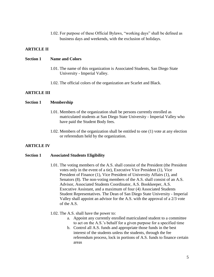1.02. For purpose of these Official Bylaws, "working days" shall be defined as business days and weekends, with the exclusion of holidays.

# **ARTICLE II**

#### **Section 1 Name and Colors**

- 1.01. The name of this organization is Associated Students, San Diego State University - Imperial Valley.
- 1.02. The official colors of the organization are Scarlet and Black.

# **ARTICLE III**

# **Section 1 Membership**

- 1.01. Members of the organization shall be persons currently enrolled as matriculated students at San Diego State University - Imperial Valley who have paid the Student Body fees.
- 1.02. Members of the organization shall be entitled to one (1) vote at any election or referendum held by the organization.

# **ARTICLE IV**

#### **Section 1 Associated Students Eligibility**

- 1.01. The voting members of the A.S. shall consist of the President (the President votes only in the event of a tie), Executive Vice President (1), Vice President of Finance (1), Vice President of University Affairs (1), and Senators (8). The non-voting members of the A.S. shall consist of an A.S. Advisor, Associated Students Coordinator, A.S. Bookkeeper, A.S. Executive Assistant, and a maximum of four (4) Associated Students Student Representatives. The Dean of San Diego State University - Imperial Valley shall appoint an advisor for the A.S. with the approval of a 2/3 vote of the A.S.
- 1.02. The A.S. shall have the power to:
	- a. Appoint any currently enrolled matriculated student to a committee to act on the A.S.'s behalf for a given purpose for a specified time
	- b. Control all A.S. funds and appropriate those funds in the best interest of the students unless the students, through the fee referendum process, lock in portions of A.S. funds to finance certain areas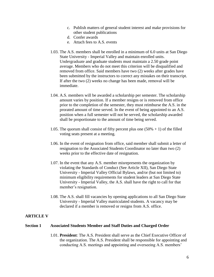- c. Publish matters of general student interest and make provisions for other student publications
- d. Confer awards
- e. Attach fees to A.S. events
- 1.03. The A.S. members shall be enrolled in a minimum of 6.0 units at San Diego State University - Imperial Valley and maintain enrolled units. Undergraduate and graduate students must maintain a 2.50 grade point average. Members who do not meet this criterion will be disqualified and removed from office. Said members have two (2) weeks after grades have been submitted by the instructors to correct any mistakes on their transcript. If after the two (2) weeks no change has been made, removal will be immediate.
- 1.04. A.S. members will be awarded a scholarship per semester. The scholarship amount varies by position. If a member resigns or is removed from office prior to the completion of the semester, they must reimburse the A.S. in the prorated amount of time served. In the event of being appointed to an A.S. position when a full semester will not be served, the scholarship awarded shall be proportionate to the amount of time being served.
- 1.05. The quorum shall consist of fifty percent plus one  $(50% + 1)$  of the filled voting seats present at a meeting.
- 1.06. In the event of resignation from office, said member shall submit a letter of resignation to the Associated Students Coordinator no later than two (2) weeks prior to the effective date of resignation.
- 1.07. In the event that any A.S. member misrepresents the organization by violating the Standards of Conduct (See Article XII), San Diego State University - Imperial Valley Official Bylaws, and/or (but not limited to) minimum eligibility requirements for student leaders at San Diego State University - Imperial Valley, the A.S. shall have the right to call for that member's resignation.
- 1.08. The A.S. shall fill vacancies by opening applications to all San Diego State University - Imperial Valley matriculated students. A vacancy may be declared if a member is removed or resigns from A.S. office.

# **ARTICLE V**

#### **Section 1 Associated Students Member and Staff Duties and Charged Order**

1.01. **President**: The A.S. President shall serve as the Chief Executive Officer of the organization. The A.S. President shall be responsible for appointing and conducting A.S. meetings and appointing and overseeing A.S. members'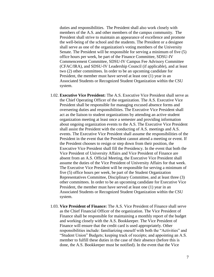duties and responsibilities. The President shall also work closely with members of the A.S. and other members of the campus community. The President shall strive to maintain an appearance of excellence and promote the well-being of the school and the students. The President or a designee shall serve as one of the organization's voting members of the University Senate. The President will be responsible for serving a minimum of five (5) office hours per week, be part of the Finance Committee, SDSU-IV Commencement Committee, SDSU-IV Campus Fee Advisory Committee (CFAC/IRA), and SDSU-IV Leadership Council (if applicable), and at least two (2) other committees. In order to be an upcoming candidate for President, the member must have served at least one (1) year in an Associated Students or Recognized Student Organization within the CSU system.

- 1.02. **Executive Vice President:** The A.S. Executive Vice President shall serve as the Chief Operating Officer of the organization. The A.S. Executive Vice President shall be responsible for managing excused absence forms and overseeing duties and responsibilities. The Executive Vice President shall act as the liaison to student organizations by attending an active student organization meeting at least once a semester and providing information about ongoing organization events to the A.S. The Executive Vice President shall assist the President with the conducting of A.S. meetings and A.S. events. The Executive Vice President shall assume the responsibilities of the President in the event that the President cannot attend a meeting or event. If the President chooses to resign or step down from their position, the Executive Vice President shall fill the Presidency. In the event that both the Vice President of University Affairs and Vice President of Finance are absent from an A.S. Official Meeting, the Executive Vice President shall assume the duties of the Vice President of University Affairs for that week. The Executive Vice President will be responsible for serving a minimum of five (5) office hours per week, be part of the Student Organization Representatives Committee, Disciplinary Committee, and at least three (3) other committees. In order to be an upcoming candidate for Executive Vice President, the member must have served at least one (1) year in an Associated Students or Recognized Student Organization within the CSU system.
- 1.03. **Vice President of Finance:** The A.S. Vice President of Finance shall serve as the Chief Financial Officer of the organization. The Vice President of Finance shall be responsible for maintaining a monthly report of the budget and working closely with the A.S. Bookkeeper. The Vice President of Finance will ensure that the credit card is used appropriately. Other responsibilities include: familiarizing oneself with both the "Activities" and "Student Union" Budgets; keeping track of receipts; and appointing an A.S. member to fulfill these duties in the case of their absence (before this is done, the A.S. Bookkeeper must be notified). In the event that the Vice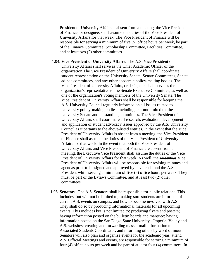President of University Affairs is absent from a meeting, the Vice President of Finance, or designee, shall assume the duties of the Vice President of University Affairs for that week. The Vice President of Finance will be responsible for serving a minimum of five (5) office hours per week, be part of the Finance Committee, Scholarship Committee, Facilities Committee, and at least two (2) other committees.

- 1.04. **Vice President of University Affairs:** The A.S. Vice President of University Affairs shall serve as the Chief Academic Officer of the organization The Vice President of University Affairs shall coordinate student representation on the University Senate, Senate Committees, Senate ad hoc committees, and any other academic policy-making bodies. The Vice President of University Affairs, or designate, shall serve as the organization's representative to the Senate Executive Committee, as well as one of the organization's voting members of the University Senate. The Vice President of University Affairs shall be responsible for keeping the A.S. University Council regularly informed on all issues related to University policy-making bodies, including, but not limited to, the University Senate and its standing committees. The Vice President of University Affairs shall coordinate all research, evaluation, development and application of student advocacy issues approved by the A.S. University Council as it pertains to the above-listed entities. In the event that the Vice President of University Affairs is absent from a meeting, the Vice President of Finance shall assume the duties of the Vice President of University Affairs for that week. In the event that both the Vice President of University Affairs and Vice President of Finance are absent from a meeting, the Executive Vice President shall assume the duties of the Vice President of University Affairs for that week. As well, the Executive Vice President of University Affairs will be responsible for revising minutes and agendas prior to be signed and approved by his/herself and the A.S. President while serving a minimum of five (5) office hours per week. They must be part of the Bylaws Committee, and at least two (2) other committees.
- 1.05. **Senators:** The A.S. Senators shall be responsible for public relations. This includes, but will not be limited to; making sure students are informed of current A.S. events on campus, and how to become involved with A.S. They shall do so by producing informational materials for all upcoming events. This includes but is not limited to: producing flyers and posters; having information posted on the bulletin boards and marquee; having information posted on the San Diego State University - Imperial Valley and A.S. websites; creating and forwarding mass e-mail information to Associated Students Coordinator; and informing others by word of mouth. Senators will also plan and organize events for the academic year, attend A.S. Official Meetings and events, are responsible for serving a minimum of four (4) office hours per week and be part of at least four (4) committees. In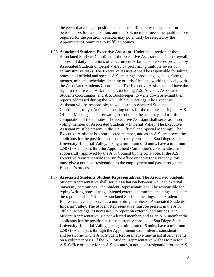the event that a higher position has not been filled after the application period closes for said position, and the A.S. member meets the qualifications required for the position, Senators may potentially be selected by the Appointment Committee to fulfill a vacancy.

- 1.06. **Associated Students Executive Assistant:** Under the direction of the Associated Students Coordinator, the Executive Assistant aids in the overall successful daily operations of Government Affairs and Services provided by Associated Students-Imperial Valley by performing multiple levels of administrative tasks. The Executive Assistant shall be responsible for taking notes at all official and special A.S. meetings, producing agendas, forms, memos, minutes, schedules, keeping orderly files, and working closely with the Associated Students Coordinator. The Executive Assistant shall have the right to require each A.S. member, including A.S. Advisor, Associated Students Coordinator, and A.S. Bookkeeper, to write down or e-mail their reports addressed during the A.S. Official Meetings. The Executive Assistant will be responsible, as well as the Associated Students Coordinator, to type/write the meeting notes for the minutes during the A.S. Official Meetings and afterwards, corroborate the accuracy and truthful composition of the minutes. The Executive Assistant shall serve as a nonvoting member of Associated Students – Imperial Valley. The Executive Assistant must be present in the A.S. Official and Special Meetings. The Executive Assistant is a non-elected member, and as an A.S. employee, the applicants for the position must be currently enrolled at San Diego State University- Imperial Valley, taking a minimum of 6 units, have a minimum 2.50 GPA and pass thru the Appointment Committee's consideration and successfully approved by the A.S. Council by majority vote. If the A.S. Executive Assistant wishes to run for office or apply for a vacancy, this must give a notice of resignation to the employment and pass through the Election's process.
- 1.07. **Associated Students Student Representatives:** The Associated Students Student Representative shall serve as a liaison between A.S. and external university committees. The Student Representative will be responsible for typing/writing notes during assigned external committee meetings and share the reports during Official Associated Students meetings. The Student Representative shall serve as a non-voting member of Associated Students - Imperial Valley. The Student Representative must be present in the A.S. Official Meetings, as necessary, to report on external committees. The Student Representative is a non-elected member, and as an A.S. member the applicants for the position must be currently enrolled at San Diego State University- Imperial Valley, taking a minimum of 6 units, have a minimum 2.50 GPA and pass through the Appointment Committee's consideration and be sworn-in. The A.S. Student Representative may assist at A.S. events on a volunteer basis. If the A.S. Student Representative wishes to run for A.S. Office or apply for an A.S. vacancy, a notice of resignation for the A.S.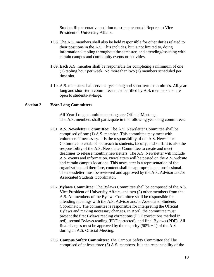Student Representative position must be presented. Reports to Vice President of University Affairs.

- 1.08. The A.S. members shall also be held responsible for other duties related to their positions in the A.S. This includes, but is not limited to, doing informational tabling throughout the semester, and attending/assisting with certain campus and community events or activities.
- 1.09. Each A.S. member shall be responsible for completing a minimum of one (1) tabling hour per week. No more than two (2) members scheduled per time slot.
- 1.10. A.S. members shall serve on year-long and short-term committees. All yearlong and short-term committees must be filled by A.S. members and are open to students-at-large.

#### **Section 2 Year-Long Committees**

All Year-Long committee meetings are Official Meetings. The A.S. members shall participate in the following year-long committees:

- 2.01. **A.S. Newsletter Committee:** The A.S. Newsletter Committee shall be comprised of one (1) A.S. member. This committee may meet with volunteers if necessary. It is the responsibility of the A.S. Newsletter Committee to establish outreach to students, faculty, and staff. It is also the responsibility of the A.S. Newsletter Committee to create and meet deadlines to release monthly newsletters. The A.S. Newsletter will include A.S. events and information. Newsletters will be posted on the A.S. website and certain campus locations. This newsletter is a representation of the organization and therefore, content shall be appropriate and professional. The newsletter must be reviewed and approved by the A.S. Advisor and/or Associated Students Coordinator.
- 2.02. **Bylaws Committee:** The Bylaws Committee shall be composed of the A.S. Vice President of University Affairs, and two (2) other members from the A.S. All members of the Bylaws Committee shall be responsible for attending meetings with the A.S. Advisor and/or Associated Students Coordinator. The committee is responsible for interpreting the Official Bylaws and making necessary changes. In April, the committee must present the first Bylaws reading corrections (PDF corrections marked in red), second Bylaws reading (PDF corrected), and final Bylaws (PDF). All final changes must be approved by the majority  $(50\% + 1)$  of the A.S. during an A.S. Official Meeting.
- 2.03. **Campus Safety Committee:** The Campus Safety Committee shall be comprised of at least three (3) A.S. members. It is the responsibility of the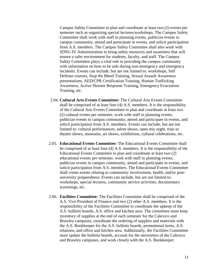Campus Safety Committee to plan and coordinate at least two (2) events per semester such as organizing special lectures/workshops. The Campus Safety Committee shall work with staff in planning events, publicize events to campus community, attend and participate in events, and solicit participation from A.S. members. The Campus Safety Committee shall also work with SDSU-IV Administration to bring safety resources and awareness that will ensure a safer environment for students, faculty, and staff. The Campus Safety Committee plays a vital role in providing the campus community with information on how to be safe during non-emergency and emergency incidents. Events can include, but are not limited to: workshops, Self Defense courses, Stop the Bleed Training, Sexual Assault Awareness presentations, AED/CPR Certification Training, Human Trafficking Awareness, Active Shooter Response Training, Emergency Evacuation Training, etc.

- 2.04. **Cultural Arts Events Committee:** The Cultural Arts Events Committee shall be comprised of at least four (4) A.S. members. It is the responsibility of the Cultural Arts Events Committee to plan and coordinate at least two (2) cultural events per semester, work with staff in planning events, publicize events to campus community, attend and participate in events, and solicit participation from A.S. members. Events can include, but are not limited to: cultural performances, talent shows, open mic night, trips to theatre shows, museums, art shows, exhibitions, cultural celebrations, etc.
- 2.05. **Educational Events Committee:** The Educational Events Committee shall be comprised of at least four (4) A.S. members. It is the responsibility of the Educational Events Committee to plan and coordinate at least two (2) educational events per semester, work with staff in planning events, publicize events to campus community, attend and participate in events, and solicit participation from A.S. members. The Educational Events Committee shall create events relating to community involvement, health, and/or postuniversity preparedness. Events can include, but are not limited to: workshops, special lectures, community service activities, documentary screenings, etc.
- 2.06. **Facilities Committee:** The Facilities Committee shall be comprised of the A.S. Vice President of Finance and two (2) other A.S. members. It is the responsibility of the Facilities Committee to coordinate the upkeep of the A.S. bulletin boards, A.S. office and kitchen area. The committee must keep inventory of supplies at the end of each semester for the Calexico and Brawley campuses, coordinate the ordering of supplies and materials with the A.S. Bookkeeper for the A.S. bulletin boards, promotional items, A.S. relations, and office and kitchen area. Additionally, the Facilities Committee must update the bulletin boards, account for the necessities of the Calexico and Brawley campuses, and work closely with the A.S. Bookkeeper.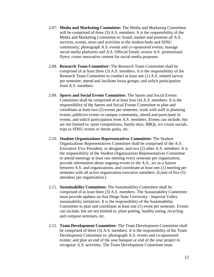- 2.07. **Media and Marketing Committee:** The Media and Marketing Committee will be comprised of three (3) A.S. members. It is the responsibility of the Media and Marketing Committee to: brand, market and promote all A.S. services, events, news and activities to the student body and SDSU community; photograph A.S. events and co-sponsored events; manage social media platforms and A.S. Official Email; review A.S. promotional flyers; create innovative content for social media purposes.
- 2.08. **Research Team Committee:** The Research Team Committee shall be comprised of at least three (3) A.S. members. It is the responsibility of the Research Team Committee to conduct at least one (1) A.S. related survey per semester; attend and facilitate focus groups; and solicit participation from A.S. members.
- 2.09. **Sports and Social Events Committee:** The Sports and Social Events Committee shall be comprised of at least four (4) A.S. members. It is the responsibility of the Sports and Social Events Committee to plan and coordinate at least two (2) events per semester, work with staff in planning events, publicize events to campus community, attend and participate in events, and solicit participation from A.S. members. Events can include, but are not limited to: sport competitions, family days, BBQs, ice cream socials, trips to SDSU events or theme parks, etc.
- 2.10. **Student Organizations Representatives Committee:** The Student Organizations Representatives Committee shall be comprised of the A.S. Executive Vice President, or designee, and two (2) other A.S. members. It is the responsibility of the Student Organizations Representatives Committee to attend meetings at least one meeting every semester per organization, provide information about ongoing events to the A.S., act as a liaison between A.S. and organizations, and coordinate at least one (1) meeting per semester with all active organization executive members. (Limit of five (5) attendees per organization.)
- 2.11. **Sustainability Committee:** The Sustainability Committee shall be comprised of at least three (3) A.S. members. The Sustainability Committee must provide updates on San Diego State University - Imperial Valley sustainability initiatives. It is the responsibility of the Sustainability Committee to plan and coordinate at least one (1) event per semester. Events can include, but are not limited to: plant potting, healthy eating, recycling and compost seminars, etc.
- 2.12. **Team Development Committee:** The Team Development Committee shall be comprised of three (3) A.S. members. It is the responsibility of the Team Development Committee to: photograph A.S. events and co-sponsored events; and plan an end of the year banquet or end of the year project to recognize A.S. activities. The Team Development Committee must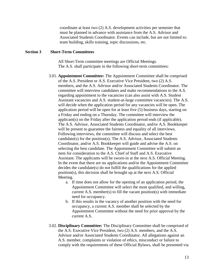coordinate at least two (2) A.S. development activities per semester that must be planned in advance with assistance from the A.S. Advisor and Associated Students Coordinator. Events can include, but are not limited to: team building, skills training, topic discussions, etc.

#### **Section 3 Short-Term Committees**

All Short-Term committee meetings are Official Meetings. The A.S. shall participate in the following short-term committees:

- 3.01. **Appointment Committee:** The Appointment Committee shall be comprised of the A.S. President or A.S. Executive Vice President, two (2) A.S. members, and the A.S. Advisor and/or Associated Students Coordinator. The committee will interview candidates and make recommendations to the A.S. regarding appointment to the vacancies (can also assist with A.S. Student Assistant vacancies and A.S. student-at-large committee vacancies). The A.S. will decide when the application period for any vacancies will be open. The application period will be open for at least five (5) business days, starting on a Friday and ending on a Thursday. The committee will interview the applicant(s) on the Friday after the application period ends (if applicable). The A.S. Advisor, Associated Students Coordinator, and/or A.S. Bookkeeper will be present to guarantee the fairness and equality of all interviews. Following interviews, the committee will discuss and select the best candidate(s) for the position(s). The A.S. Advisor, Associated Students Coordinator, and/or A.S. Bookkeeper will guide and advise the A.S. on selecting the best candidate. The Appointment Committee will submit an item for consideration to the A.S. Chief of Staff and A.S. Executive Assistant. The applicants will be sworn-in at the next A.S. Official Meeting. In the event that there are no applications and/or the Appointment Committee decides the candidate(s) do not fulfill the qualifications for the applied position(s), this decision shall be brought up at the next A.S. Official Meeting.
	- a. If time does not allow for the opening of an application period, the Appointment Committee will select the most qualified, and willing, current A.S. member(s) to fill the vacant position(s) with immediate need for occupancy.
	- b. If this results in the vacancy of another position with the need for occupancy, a current A.S. member shall be selected by the Appointment Committee without the need for prior approval by the current A.S.
- 3.02. **Disciplinary Committee:** The Disciplinary Committee shall be comprised of the A.S. Executive Vice President, two (2) A.S. members, and the A.S. Advisor and/or Associated Students Coordinator. All allegations against an A.S. member, complaints or violation of ethics, misconduct or failure to comply with the requirements of these Official Bylaws, shall be presented via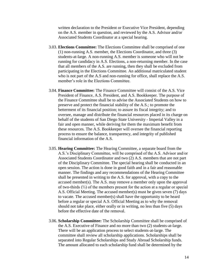written declaration to the President or Executive Vice President, depending on the A.S. member in question, and reviewed by the A.S. Advisor and/or Associated Students Coordinator at a special hearing.

- 3.03. **Elections Committee:** The Elections Committee shall be comprised of one (1) non-running A.S. member, the Elections Coordinator, and three (3) students-at-large. A non-running A.S. member is someone who will not be running for candidacy in A.S. Elections, a non-returning member. In the case that all members of the A.S. are running, then they shall be excluded from participating in the Elections Committee. An additional matriculated student who is not part of the A.S and non-running for office, shall replace the A.S. member's role in the Elections Committee.
- 3.04. **Finance Committee:** The Finance Committee will consist of the A.S. Vice President of Finance, A.S. President, and A.S. Bookkeeper. The purpose of the Finance Committee shall be to advise the Associated Students on how to preserve and protect the financial stability of the A.S.; to promote the betterment of its financial position; to assure its fiscal integrity; and to oversee, manage and distribute the financial resources placed in its charge on behalf of the students of San Diego State University - Imperial Valley in a fair and open manner, while deriving for them the maximum benefit from these resources. The A.S. Bookkeeper will oversee the financial reporting process to ensure the balance, transparency, and integrity of published financial information of the A.S.
- 3.05. **Hearing Committee:** The Hearing Committee, a separate board from the A.S.'s Disciplinary Committee, will be comprised of the A.S. Advisor and/or Associated Students Coordinator and two (2) A.S. members that are not part of the Disciplinary Committee. The special hearing shall be conducted in an open session. The action is done in good faith and in a fair and reasonable manner. The findings and any recommendations of the Hearing Committee shall be presented in writing to the A.S. for approval, with a copy to the accused member(s). The A.S. may remove a member only upon the approval of two-thirds (⅔) of the members present for the action at a regular or special A.S. Official Meeting. The accused member(s) must be given seven (7) days to vacate. The accused member(s) shall have the opportunity to be heard before a regular or special A.S. Official Meeting as to why the removal should not take place, either orally or in writing, no less than five (5) days before the effective date of the removal.
- 3.06. **Scholarship Committee:** The Scholarship Committee shall be comprised of the A.S. Executive of Finance and no more than two (2) students-at-large. There will be an application process to select students-at-large. The committee shall review all scholarship applications. Scholarships shall be separated into Regular Scholarships and Study Abroad Scholarship funds. The amount allocated to each scholarship fund shall be determined by the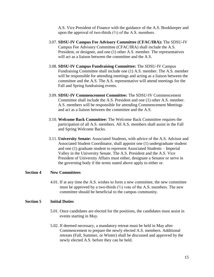A.S. Vice President of Finance with the guidance of the A.S. Bookkeeper and upon the approval of two-thirds  $(\frac{2}{3})$  of the A.S. members.

- 3.07. **SDSU-IV Campus Fee Advisory Committee (CFAC/IRA):** The SDSU-IV Campus Fee Advisory Committee (CFAC/IRA) shall include the A.S. President, or designee, and one (1) other A.S. member. The representatives will act as a liaison between the committee and the A.S.
- 3.08. **SDSU-IV Campus Fundraising Committee:** The SDSU-IV Campus Fundraising Committee shall include one (1) A.S. member. The A.S. member will be responsible for attending meetings and acting as a liaison between the committee and the A.S. The A.S. representative will attend meetings for the Fall and Spring fundraising events.
- 3.09. **SDSU-IV Commencement Committee:** The SDSU-IV Commencement Committee shall include the A.S. President and one (1) other A.S. member. A.S. members will be responsible for attending Commencement Meetings and act as a liaison between the committee and the A.S.
- 3.10. **Welcome Back Committee:** The Welcome Back Committee requires the participation of all A.S. members. All A.S. members shall assist in the Fall and Spring Welcome Backs.
- 3.11. **University Senate:** Associated Students, with advice of the A.S. Advisor and Associated Student Coordinator, shall appoint one (1) undergraduate student and one (1) graduate student to represent Associated Students – Imperial Valley in the University Senate. The A.S. President and the A.S. Vice President of University Affairs must either, designate a Senator or serve in the governing body if the terms stated above apply to either or.

### **Section 4 New Committees**

4.01. If at any time the A.S. wishes to form a new committee, the new committee must be approved by a two-thirds  $(\frac{2}{3})$  vote of the A.S. members. The new committee should be beneficial to the campus community.

#### **Section 5 Initial Duties**

- 5.01. Once candidates are elected for the positions, the candidates must assist in events starting in May.
- 5.02. If deemed necessary, a mandatory retreat must be held in May after Commencement to prepare the newly elected A.S. members. Additional retreats (Fall, Summer, or Winter) shall be discussed and approved by the newly elected A.S. before they can be held.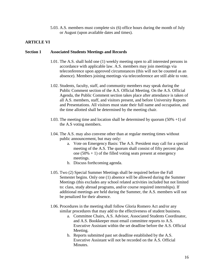5.03. A.S. members must complete six (6) office hours during the month of July or August (upon available dates and times).

# **ARTICLE VI**

#### **Section 1 Associated Students Meetings and Records**

- 1.01. The A.S. shall hold one (1) weekly meeting open to all interested persons in accordance with applicable law. A.S. members may join meetings via teleconference upon approved circumstances (this will not be counted as an absence). Members joining meetings via teleconference are still able to vote.
- 1.02. Students, faculty, staff, and community members may speak during the Public Comment section of the A.S. Official Meeting. On the A.S. Official Agenda, the Public Comment section takes place after attendance is taken of all A.S. members, staff, and visitors present, and before University Reports and Presentations. All visitors must state their full name and occupation, and the time allotted shall be determined by the meeting chair.
- 1.03. The meeting time and location shall be determined by quorum (50% +1) of the A.S voting members.
- 1.04. The A.S. may also convene other than at regular meeting times without public announcement, but may only:
	- a. Vote on Emergency Basis: The A.S. President may call for a special meeting of the A.S. The quorum shall consist of fifty percent plus one  $(50% + 1)$  of the filled voting seats present at emergency meetings.
	- b. Discuss forthcoming agenda.
- 1.05. Two (2) Special Summer Meetings shall be required before the Fall Semester begins. Only one (1) absence will be allowed during the Summer Meetings (this excludes any school related activities included but not limited to: class, study abroad programs, and/or course required internships). If additional meetings are held during the Summer, the A.S. members will not be penalized for their absence.
- 1.06. Procedures in the meeting shall follow Gloria Romero Act and/or any similar procedures that may add to the effectiveness of student business.
	- a. Committee Chairs, A.S. Advisor, Associated Students Coordinator, and A.S. Bookkeeper must email committee reports to A.S. Executive Assistant within the set deadline before the A.S. Official Meeting.
	- b. Reports submitted past set deadline established by the A.S. Executive Assistant will not be recorded on the A.S. Official Minutes.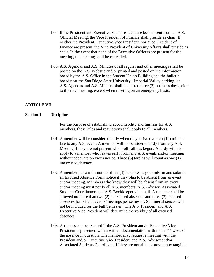- 1.07. If the President and Executive Vice President are both absent from an A.S. Official Meeting, the Vice President of Finance shall preside as chair. If neither the President, Executive Vice President, nor Vice President of Finance are present, the Vice President of University Affairs shall preside as chair. In the event that none of the Executive Officers are present for the meeting, the meeting shall be cancelled.
- 1.08. A.S. Agendas and A.S. Minutes of all regular and other meetings shall be posted on the A.S. Website and/or printed and posted on the information board by the A.S. Office in the Student Union Building and the bulletin board near the San Diego State University - Imperial Valley parking lot. A.S. Agendas and A.S. Minutes shall be posted three (3) business days prior to the next meeting, except when meeting on an emergency basis.

# **ARTICLE VII**

#### **Section 1 Discipline**

For the purpose of establishing accountability and fairness for A.S. members, these rules and regulations shall apply to all members.

- 1.01. A member will be considered tardy when they arrive over ten (10) minutes late to any A.S. event. A member will be considered tardy from any A.S. Meeting if they are not present when roll call has begun. A tardy will also apply to a member who leaves early from any A.S. events and/or meetings without adequate previous notice. Three (3) tardies will count as one (1) unexcused absence.
- 1.02. A member has a minimum of three (3) business days to inform and submit an Excused Absence Form notice if they plan to be absent from an event and/or meeting. Members who know they will be absent from an event and/or meeting must notify all A.S. members, A.S. Advisor, Associated Students Coordinator, and A.S. Bookkeeper via email. A member shall be allowed no more than two (2) unexcused absences and three (3) excused absences for official events/meetings per semester; Summer absences will not be included for the Fall Semester. The A.S. President and A.S. Executive Vice President will determine the validity of all excused absences.
- 1.03. Absences can be excused if the A.S. President and/or Executive Vice President is presented with a written documentation within one (1) week of the absence in question. The member may request a meeting with the President and/or Executive Vice President and A.S. Advisor and/or Associated Students Coordinator if they are not able to present any tangible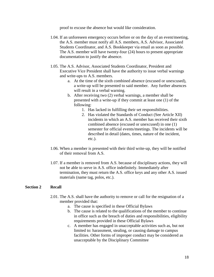proof to excuse the absence but would like consideration.

- 1.04. If an unforeseen emergency occurs before or on the day of an event/meeting, the A.S. member must notify all A.S. members, A.S. Advisor, Associated Students Coordinator, and A.S. Bookkeeper via email as soon as possible. The A.S. member will have twenty-four (24) hours to present appropriate documentation to justify the absence.
- 1.05. The A.S. Advisor, Associated Students Coordinator, President and Executive Vice President shall have the authority to issue verbal warnings and write-ups to A.S. members.
	- a. At the time of the sixth combined absence (excused or unexcused), a write-up will be presented to said member. Any further absences will result in a verbal warning.
	- b. After receiving two (2) verbal warnings, a member shall be presented with a write-up if they commit at least one (1) of the following:
		- 1. Has lacked in fulfilling their set responsibilities.
		- 2. Has violated the Standards of Conduct (See Article XII) incidents in which an A.S. member has received their sixth combined absence (excused or unexcused) in one (1) semester for official events/meetings. The incidents will be described in detail (dates, times, nature of the incident, etc.).
- 1.06. When a member is presented with their third write-up, they will be notified of their removal from A.S.
- 1.07. If a member is removed from A.S. because of disciplinary actions, they will not be able to serve in A.S. office indefinitely. Immediately after termination, they must return the A.S. office keys and any other A.S. issued materials (name tag, polos, etc.).

#### **Section 2 Recall**

- 2.01. The A.S. shall have the authority to remove or call for the resignation of a member provided that:
	- a. The cause is specified in these Official Bylaws
	- b. The cause is related to the qualifications of the member to continue in office such as the breach of duties and responsibilities, eligibility requirements provided in these Official Bylaws
	- c. A member has engaged in unacceptable activities such as, but not limited to: harassment, stealing, or causing damage to campus facilities. Other forms of improper conduct may be considered as unacceptable by the Disciplinary Committee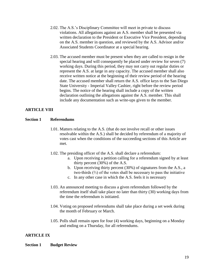- 2.02. The A.S.'s Disciplinary Committee will meet in private to discuss violations. All allegations against an A.S. member shall be presented via written declaration to the President or Executive Vice President, depending on the A.S. member in question, and reviewed by the A.S. Advisor and/or Associated Students Coordinator at a special hearing.
- 2.03. The accused member must be present when they are called to resign in the special hearing and will consequently be placed under review for seven (7) working days. During this period, they may not carry out regular duties or represent the A.S. at large in any capacity. The accused member shall also receive written notice at the beginning of their review period of the hearing date. The accused member shall return the A.S. office keys to the San Diego State University - Imperial Valley Cashier, right before the review period begins. The notice of the hearing shall include a copy of the written declaration outlining the allegations against the A.S. member. This shall include any documentation such as write-ups given to the member.

# **ARTICLE VIII**

# **Section 1 Referendums**

- 1.01. Matters relating to the A.S. (that do not involve recall or other issues resolvable within the A.S.) shall be decided by referendum of a majority of votes cast when the conditions of the succeeding sections of this Article are met.
- 1.02. The presiding officer of the A.S. shall declare a referendum:
	- a. Upon receiving a petition calling for a referendum signed by at least thirty percent (30%) of the A.S.
	- b. Upon receiving thirty percent (30%) of signatures from the A.S., a two-thirds (⅔) of the votes shall be necessary to pass the initiative
	- c. In any other case in which the A.S. feels it is necessary
- 1.03. An announced meeting to discuss a given referendum followed by the referendum itself shall take place no later than thirty (30) working days from the time the referendum is initiated.
- 1.04. Voting on proposed referendums shall take place during a set week during the month of February or March.
- 1.05. Polls shall remain open for four (4) working days, beginning on a Monday and ending on a Thursday, for all referendums.

# **ARTICLE IX**

**Section 1 Budget Review**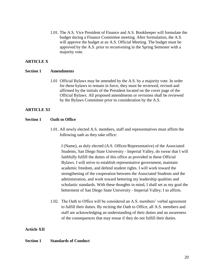1.01. The A.S. Vice President of Finance and A.S. Bookkeeper will formulate the budget during a Finance Committee meeting. After formulation, the A.S. will approve the budget at an A.S. Official Meeting. The budget must be approved by the A.S. prior to reconvening in the Spring Semester with a majority vote.

# **ARTICLE X**

# **Section 1 Amendments**

1.01 Official Bylaws may be amended by the A.S. by a majority vote. In order for these bylaws to remain in force, they must be reviewed, revised and affirmed by the initials of the President located on the cover page of the Official Bylaws. All proposed amendments or revisions shall be reviewed by the Bylaws Committee prior to consideration by the A.S.

# **ARTICLE XI**

# **Section 1 Oath to Office**

1.01. All newly elected A.S. members, staff and representatives must affirm the following oath as they take office:

I (Name), as duly elected (A.S. Officer/Representative) of the Associated Students, San Diego State University - Imperial Valley, do swear that I will faithfully fulfill the duties of this office as provided in these Official Bylaws. I will strive to establish representative government, maintain academic freedom, and defend student rights. I will work toward the strengthening of the cooperation between the Associated Students and the administration, and work toward bettering my leadership qualities and scholastic standards. With these thoughts in mind, I shall set as my goal the betterment of San Diego State University - Imperial Valley; I so affirm.

1.02. The Oath to Office will be considered an A.S. members' verbal agreement to fulfill their duties. By reciting the Oath to Office, all A.S. members and staff are acknowledging an understanding of their duties and an awareness of the consequences that may ensue if they do not fulfill their duties.

# **Article XII**

# **Section 1 Standards of Conduct**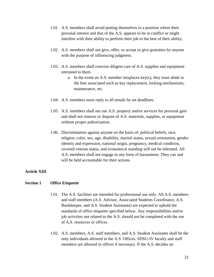- 1.01. A.S. members shall avoid putting themselves in a position where their personal interest and that of the A.S. appears to be in conflict or might interfere with their ability to perform their job to the best of their ability.
- 1.02. A.S. members shall not give, offer, or accept to give gratuities by anyone with the purpose of influencing judgment.
- 1.03. A.S. members shall exercise diligent care of A.S. supplies and equipment entrusted to them.
	- a. In the event an A.S. member misplaces key(s), they must abide to the fees associated such as key replacement, locking mechanisms, maintenance, etc.
- 1.04. A.S. members must reply to all emails by set deadlines.
- 1.05. A.S. members shall not use A.S. property and/or services for personal gain and shall not remove or dispose of A.S. materials, supplies, or equipment without proper authorization.
- 1.06. Discrimination against anyone on the basis of: political beliefs, race, religion, color, sex, age, disability, marital status, sexual orientation, gender identity and expression, national origin, pregnancy, medical condition, covered veteran status, and economical standing will not be tolerated. All A.S. members shall not engage in any form of harassment. They can and will be held accountable for their actions.

# **Article XIII**

# **Section 1 Office Etiquette**

- 1.01. The A.S. facilities are intended for professional use only. All A.S. members and staff members (A.S. Advisor, Associated Students Coordinator, A.S. Bookkeeper, and A.S. Student Assistants) are expected to uphold the standards of office etiquette specified below. Any responsibilities and/or job activities not related to the A.S. should not be completed with the use of A.S. resources or offices.
- 1.02. A.S. members, A.S. staff members, and A.S. Student Assistants shall be the only individuals allowed in the A.S. Offices. SDSU-IV faculty and staff members are allowed in offices if necessary. If the A.S. decides on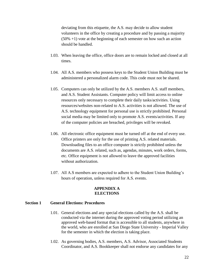deviating from this etiquette, the A.S. may decide to allow student volunteers in the office by creating a procedure and by passing a majority (50% +1) vote at the beginning of each semester on how such an action should be handled.

- 1.03. When leaving the office, office doors are to remain locked and closed at all times.
- 1.04. All A.S. members who possess keys to the Student Union Building must be administered a personalized alarm code. This code must not be shared.
- 1.05. Computers can only be utilized by the A.S. members A.S. staff members, and A.S. Student Assistants. Computer policy will limit access to online resources only necessary to complete their daily tasks/activities. Using resources/websites non-related to A.S. activities is not allowed. The use of A.S. technology equipment for personal use is strictly prohibited. Personal social media may be limited only to promote A.S. events/activities. If any of the computer policies are breached, privileges will be revoked.
- 1.06. All electronic office equipment must be turned off at the end of every use. Office printers are only for the use of printing A.S. related materials. Downloading files to an office computer is strictly prohibited unless the documents are A.S. related, such as, agendas, minutes, work orders, forms, etc. Office equipment is not allowed to leave the approved facilities without authorization.
- 1.07. All A.S members are expected to adhere to the Student Union Building's hours of operation, unless required for A.S. events.

### **APPENDIX A ELECTIONS**

#### **Section 1 General Elections: Procedures**

- 1.01. General elections and any special elections called by the A.S. shall be conducted via the internet during the approved voting period utilizing an approved web-based format that is accessible to all students, anywhere in the world, who are enrolled at San Diego State University - Imperial Valley for the semester in which the election is taking place.
- 1.02. As governing bodies, A.S. members, A.S. Advisor, Associated Students Coordinator, and A.S. Bookkeeper shall not endorse any candidates for any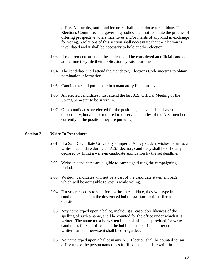office. All faculty, staff, and lecturers shall not endorse a candidate. The Elections Committee and governing bodies shall not facilitate the process of offering prospective voters incentives and/or merits of any kind in exchange for voting. Violations of this section shall necessitate that the election is invalidated and it shall be necessary to hold another election.

- 1.03. If requirements are met, the student shall be considered an official candidate at the time they file their application by said deadline.
- 1.04. The candidate shall attend the mandatory Elections Code meeting to obtain nomination information.
- 1.05. Candidates shall participate in a mandatory Elections event.
- 1.06. All elected candidates must attend the last A.S. Official Meeting of the Spring Semester to be sworn in.
- 1.07. Once candidates are elected for the positions, the candidates have the opportunity, but are not required to observe the duties of the A.S. member currently in the position they are pursuing.

#### **Section 2 Write-In Procedures**

- 2.01. If a San Diego State University Imperial Valley student wishes to run as a write-in candidate during an A.S. Election, candidacy shall be officially declared by filing a write-in candidate application by the set deadline.
- 2.02. Write-in candidates are eligible to campaign during the campaigning period.
- 2.03. Write-in candidates will not be a part of the candidate statement page, which will be accessible to voters while voting.
- 2.04. If a voter chooses to vote for a write-in candidate, they will type in the candidate's name in the designated ballot location for the office in question.
- 2.05. Any name typed upon a ballot, including a reasonable likeness of the spelling of such a name, shall be counted for the office under which it is written. The name must be written in the blank space provided for write-in candidates for said office, and the bubble must be filled in next to the written name; otherwise it shall be disregarded.
- 2.06. No name typed upon a ballot in any A.S. Election shall be counted for an office unless the person named has fulfilled the candidate write-in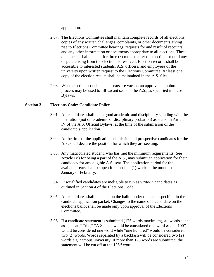application.

- 2.07. The Elections Committee shall maintain complete records of all elections, copies of any written challenges, complaints, or other documents giving rise to Elections Committee hearings; requests for and result of recounts; and any other information or documents appropriate to all elections. These documents shall be kept for three (3) months after the election, or until any dispute arising from the election, is resolved. Election records shall be accessible to interested students, A.S. officers, and employees of the university upon written request to the Elections Committee. At least one (1) copy of the election results shall be maintained in the A.S. files.
- 2.08. When elections conclude and seats are vacant, an approved appointment process may be used to fill vacant seats in the A.S., as specified in these Bylaws.

# **Section 3 Elections Code: Candidate Policy**

- 3.01. All candidates shall be in good academic and disciplinary standing with the institution (not on academic or disciplinary probation) as stated in Article IV of the A.S. Official Bylaws, at the time of the submission of the candidate's application.
- 3.02. At the time of the application submission, all prospective candidates for the A.S. shall declare the position for which they are seeking.
- 3.03. Any matriculated student, who has met the minimum requirements (See Article IV) for being a part of the A.S., may submit an application for their candidacy for any eligible A.S. seat. The application period for the available seats shall be open for a set one (1) week in the months of January or February.
- 3.04. Disqualified candidates are ineligible to run as write-in candidates as outlined in Section 4 of the Elections Code.
- 3.05. All candidates shall be listed on the ballot under the name specified in the candidate application packet. Changes to the name of a candidate on the elections ballot shall be made only upon approval of the Elections Committee.
- 3.06. If a candidate statement is submitted (125 words maximum), all words such as "a," "an," "the," "A.S." etc. would be considered one word each. "100" would be considered one word while "one hundred" would be considered two (2) words. Words separated by a backlash will be considered two (2) words e.g. campus/university. If more than 125 words are submitted, the statement will be cut off at the  $125<sup>th</sup>$  word.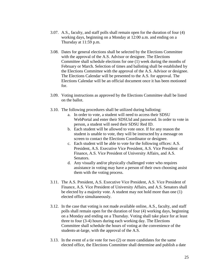- 3.07. A.S., faculty, and staff polls shall remain open for the duration of four (4) working days, beginning on a Monday at 12:00 a.m. and ending on a Thursday at 11:59 p.m.
- 3.08. Dates for general elections shall be selected by the Elections Committee with the approval of the A.S. Advisor or designee. The Elections Committee shall schedule elections for one (1) week during the months of February or March. Selection of times and balloting shall be established by the Elections Committee with the approval of the A.S. Advisor or designee. The Elections Calendar will be presented to the A.S. for approval. The Elections Calendar will be an official document once it has been motioned for.
- 3.09. Voting instructions as approved by the Elections Committee shall be listed on the ballot.
- 3.10. The following procedures shall be utilized during balloting:
	- a. In order to vote, a student will need to access their SDSU WebPortal and enter their SDSUid and password. In order to vote in person, a student will need their SDSU Red ID.
	- b. Each student will be allowed to vote once. If for any reason the student is unable to vote, they will be instructed by a message on screen to contact the Elections Coordinator or designee.
	- c. Each student will be able to vote for the following offices: A.S. President, A.S. Executive Vice President, A.S. Vice President of Finance, A.S. Vice President of University Affairs, and A.S. Senators.
	- d. Any visually and/or physically challenged voter who requires assistance in voting may have a person of their own choosing assist them with the voting process.
- 3.11. The A.S. President, A.S. Executive Vice President, A.S. Vice President of Finance, A.S. Vice President of University Affairs, and A.S. Senators shall be elected by a majority vote. A student may not hold more than one (1) elected office simultaneously.
- 3.12. In the case that voting is not made available online, A.S., faculty, and staff polls shall remain open for the duration of four (4) working days, beginning on a Monday and ending on a Thursday. Voting shall take place for at least three to four (3-4) hours during each working day. The Elections Committee shall schedule the hours of voting at the convenience of the students-at-large, with the approval of the A.S.
- 3.13. In the event of a tie vote for two (2) or more candidates for the same elected office, the Elections Committee shall determine and publish a date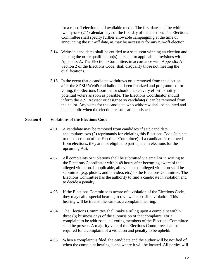for a run-off election in all available media. The first date shall be within twenty-one (21) calendar days of the first day of the election. The Elections Committee shall specify further allowable campaigning at the time of announcing the run-off date, as may be necessary for any run-off election.

- 3.14. Write-in candidates shall be entitled to a seat upon winning an election and meeting the other qualification(s) pursuant to applicable provisions within Appendix A. The Elections Committee, in accordance with Appendix A Section 2 of the Elections Code, shall disqualify those not meeting the qualifications.
- 3.15. In the event that a candidate withdraws or is removed from the election after the SDSU WebPortal ballot has been finalized and programmed for voting, the Elections Coordinator should make every effort to notify potential voters as soon as possible. The Elections Coordinator should inform the A.S. Advisor or designee so candidate(s) can be removed from the ballot. Any votes for the candidate who withdrew shall be counted and made public when the elections results are published.

### **Section 4 Violations of the Elections Code**

- 4.01. A candidate may be removed from candidacy if said candidate accumulates two (2) reprimands for violating this Elections Code (subject to the discretion of the Elections Committee). If a candidate is removed from elections, they are not eligible to participate in elections for the upcoming A.S.
- 4.02. All complaints or violations shall be submitted via email or in writing to the Elections Coordinator within 48 hours after becoming aware of the alleged violation. If applicable, all evidence of alleged violation shall be submitted (e.g. photos, audio, video, etc.) to the Elections Committee. The Elections Committee has the authority to find a candidate in violation and to decide a penalty.
- 4.03. If the Elections Committee is aware of a violation of the Elections Code, they may call a special hearing to review the possible violation. This hearing will be treated the same as a complaint hearing.
- 4.04. The Elections Committee shall make a ruling upon a complaint within three (3) business days of the submission of that complaint. For a complaint to be addressed, all voting members of the Elections Committee shall be present. A majority vote of the Elections Committee shall be required for a complaint of a violation and penalty to be upheld.
- 4.05. When a complaint is filed, the candidate and the author will be notified of when the complaint hearing is and where it will be located. All parties will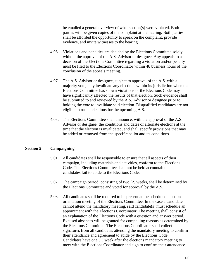be emailed a general overview of what section(s) were violated. Both parties will be given copies of the complaint at the hearing. Both parties shall be afforded the opportunity to speak on the complaint, provide evidence, and invite witnesses to the hearing.

- 4.06. Violations and penalties are decided by the Elections Committee solely, without the approval of the A.S. Advisor or designee. Any appeals to a decision of the Elections Committee regarding a violation and/or penalty must be filed to the Elections Coordinator within 48 business hours of the conclusion of the appeals meeting.
- 4.07. The A.S. Advisor or designee, subject to approval of the A.S. with a majority vote, may invalidate any elections within its jurisdiction when the Elections Committee has shown violations of the Elections Code may have significantly affected the results of that election. Such evidence shall be submitted to and reviewed by the A.S. Advisor or designee prior to holding the vote to invalidate said election. Disqualified candidates are not eligible to run in elections for the upcoming A.S.
- 4.08. The Elections Committee shall announce, with the approval of the A.S. Advisor or designee, the conditions and dates of alternate elections at the time that the election is invalidated, and shall specify provisions that may be added or removed from the specific ballot and its conditions.

# **Section 5 Campaigning**

- 5.01. All candidates shall be responsible to ensure that all aspects of their campaign, including materials and activities, conform to the Elections Code. The Elections Committee shall not be held accountable if candidates fail to abide to the Elections Code.
- 5.02. The campaign period, consisting of two (2) weeks, shall be determined by the Elections Committee and voted for approval by the A.S.
- 5.03. All candidates shall be required to be present at the scheduled election orientation meeting of the Elections Committee. In the case a candidate cannot attend the mandatory meeting, said candidate(s) must schedule an appointment with the Elections Coordinator. The meeting shall consist of an explanation of the Elections Code with a question and answer period. Excused absences will be granted for compelling reasons as determined by the Elections Committee. The Elections Coordinator shall collect signatures from all candidates attending the mandatory meeting to confirm their attendance and agreement to abide by the Elections Code. Candidates have one (1) week after the elections mandatory meeting to meet with the Elections Coordinator and sign to confirm their attendance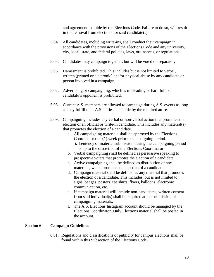and agreement to abide by the Elections Code. Failure to do so, will result in the removal from elections for said candidate(s).

- 5.04. All candidates, including write-ins, shall conduct their campaign in accordance with the provisions of the Elections Code and any university, city, local, state, and federal policies, laws, ordinances, or regulations.
- 5.05. Candidates may campaign together, but will be voted on separately.
- 5.06. Harassment is prohibited. This includes but is not limited to verbal, written (printed or electronic) and/or physical abuse by any candidate or person involved in a campaign.
- 5.07. Advertising or campaigning, which is misleading or harmful to a candidate's opponent is prohibited.
- 5.08. Current A.S. members are allowed to campaign during A.S. events as long as they fulfill their A.S. duties and abide by the required attire.
- 5.09. Campaigning includes any verbal or non-verbal action that promotes the election of an official or write-in candidate. This includes any material(s) that promotes the election of a candidate.
	- a. All campaigning materials shall be approved by the Elections Coordinator one (1) week prior to campaigning period.
		- i. Leniency of material submission during the campaigning period is up to the discretion of the Elections Coordinator.
	- b. Verbal campaigning shall be defined as persuasive speaking to prospective voters that promotes the election of a candidate.
	- c. Active campaigning shall be defined as distribution of any materials, which promotes the election of a candidate.
	- d. Campaign material shall be defined as any material that promotes the election of a candidate. This includes, but is not limited to, signs, badges, posters, tee shirts, flyers, balloons, electronic communication, etc.
	- e. If campaign material will include non-candidates, written consent from said individual(s) shall be required at the submission of campaigning materials.
	- f. The A.S. Elections Instagram account should be managed by the Elections Coordinator. Only Elections material shall be posted in the account.

# **Section 6 Campaign Guidelines**

6.01. Regulations and classifications of publicity for campus elections shall be found within this Subsection of the Elections Code.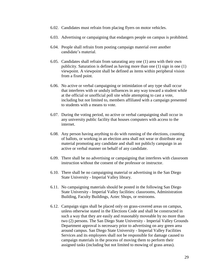- 6.02. Candidates must refrain from placing flyers on motor vehicles.
- 6.03. Advertising or campaigning that endangers people on campus is prohibited.
- 6.04. People shall refrain from posting campaign material over another candidate's material.
- 6.05. Candidates shall refrain from saturating any one (1) area with their own publicity. Saturation is defined as having more than one (1) sign in one (1) viewpoint. A viewpoint shall be defined as items within peripheral vision from a fixed point.
- 6.06. No active or verbal campaigning or intimidation of any type shall occur that interferes with or unduly influences in any way toward a student while at the official or unofficial poll site while attempting to cast a vote, including but not limited to, members affiliated with a campaign presented to students with a means to vote.
- 6.07. During the voting period, no active or verbal campaigning shall occur in any university public facility that houses computers with access to the internet.
- 6.08. Any person having anything to do with running of the elections, counting of ballots, or working in an election area shall not wear or distribute any material promoting any candidate and shall not publicly campaign in an active or verbal manner on behalf of any candidate.
- 6.09. There shall be no advertising or campaigning that interferes with classroom instruction without the consent of the professor or instructor.
- 6.10. There shall be no campaigning material or advertising in the San Diego State University - Imperial Valley library.
- 6.11. No campaigning materials should be posted in the following San Diego State University - Imperial Valley facilities: classrooms, Administration Building, Faculty Buildings, Aztec Shops, or restrooms.
- 6.12. Campaign signs shall be placed only on grass-covered areas on campus, unless otherwise stated in the Elections Code and shall be constructed in such a way that they are easily and reasonably moveable by no more than two (2) persons. The San Diego State University - Imperial Valley Grounds Department approval is necessary prior to advertising on any green area around campus. San Diego State University - Imperial Valley Facilities Services and its employees shall not be responsible for damage caused to campaign materials in the process of moving them to perform their assigned tasks (including but not limited to mowing of grass areas).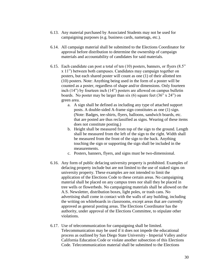- 6.13. Any material purchased by Associated Students may not be used for campaigning purposes (e.g. business cards, nametags, etc.).
- 6.14. All campaign material shall be submitted to the Elections Coordinator for approval before distribution to determine the ownership of campaign materials and accountability of candidates for said materials.
- 6.15. Each candidate can post a total of ten (10) posters, banners, or flyers (8.5" x 11") between both campuses. Candidates may campaign together on posters, but each shared poster will count as one (1) of their allotted ten (10) posters. Note: Anything being used in the form of a poster will be counted as a poster, regardless of shape and/or dimensions. Only fourteen inch (14") by fourteen inch (14") posters are allowed on campus bulletin boards. No poster may be larger than six  $(6)$  square feet  $(36"$  x  $24"$  on green area.
	- a. A sign shall be defined as including any type of attached support posts. A double-sided A-frame sign constitutes as one (1) sign. (Note: Badges, tee-shirts, flyers, balloons, sandwich boards, etc. that are posted are thus reclassified as signs. Wearing of these items does not constitute posting.)
	- b. Height shall be measured from top of the sign to the ground. Length shall be measured from the left of the sign to the right. Width shall be measured from the front of the sign to the back. Anything touching the sign or supporting the sign shall be included in the measurements.
	- c. Posters, banners, flyers, and signs must be two-dimensional.
- 6.16. Any form of public defacing university property is prohibited. Examples of defacing property include but are not limited to the use of staked signs on university property. These examples are not intended to limit the application of the Elections Code to these certain areas. No campaigning material shall be placed on any campus trees nor shall they be placed in tree wells or flowerbeds. No campaigning materials shall be allowed on the A.S. Newsletter, distribution boxes, light poles, or trash cans. No advertising shall come in contact with the walls of any building, including the writing on whiteboards in classrooms, except areas that are currently approved as general posting areas. The Elections Coordinator has the authority, under approval of the Elections Committee, to stipulate other violations.
- 6.17. Use of telecommunication for campaigning shall be limited. Telecommunication may be used if it does not impede the educational process as outlined by San Diego State University - Imperial Valley and/or California Education Code or violate another subsection of this Elections Code. Telecommunication material shall be submitted to the Elections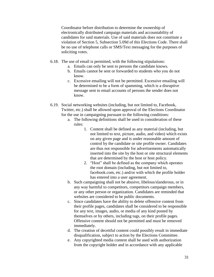Coordinator before distribution to determine the ownership of electronically distributed campaign materials and accountability of candidates for said materials. Use of said materials does not constitute a violation of Section 5, Subsection 5.09d of this Elections Code. There shall be no use of telephone calls or SMS/Text messaging for the purposes of soliciting votes.

- 6.18. The use of email is permitted, with the following stipulations:
	- a. Emails can only be sent to persons the candidate knows.
	- b. Emails cannot be sent or forwarded to students who you do not know.
	- c. Excessive emailing will not be permitted. Excessive emailing will be determined to be a form of spamming, which is a disruptive message sent to email accounts of persons the sender does not know.
- 6.19. Social networking websites (including, but not limited to, Facebook, Twitter, etc.) shall be allowed upon approval of the Elections Coordinator for the use in campaigning pursuant to the following conditions:
	- a. The following definitions shall be used in consideration of these rules:
		- 1. Content shall be defined as any material (including, but not limited to text, picture, audio, and video) which exists on any given page and is under reasonable amount of control by the candidate or site profile owner. Candidates are thus not responsible for advertisements automatically inserted into the site by the host or site structural elements that are determined by the host or host policy.
		- 2. "Host" shall be defined as the company which operates the root domain (including, but not limited to, facebook.com, etc.) and/or with which the profile holder has entered into a user agreement.
	- b. Such campaigning shall not be abusive, libelous/slanderous, or in any way harmful to competitors, competitors campaign members, or any other person or organization. Candidates are reminded that websites are considered to be public documents.
	- c. Since candidates have the ability to delete offensive content from their profile pages, candidates shall be considered to be responsible for any text, images, audio, or media of any kind posted by themselves or by others, including tags, on their profile pages. Offensive content should not be permitted and must be removed immediately.
	- d. The creation of deceitful content could possibly result in immediate disqualification, subject to action by the Elections Committee.
	- e. Any copyrighted media content shall be used with authorization from the copyright holder and in accordance with any applicable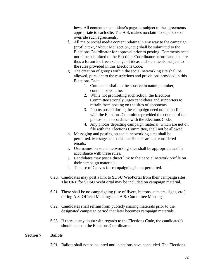laws. All content on candidate's pages is subject to the agreements appropriate to each site. The A.S. makes no claim to supersede or override such agreements.

- f. All major social media content relating in any way to the campaign (profile text, 'About Me' section, etc.) shall be submitted to the Elections Coordinator for approval prior to posting. Comments need not to be submitted to the Elections Coordinator beforehand and are thus a forum for free exchange of ideas and statements, subject to the rules provided in this Elections Code.
- g. The creation of groups within the social networking site shall be allowed, pursuant to the restrictions and provisions provided in this Elections Code.
	- 1. Comments shall not be abusive in nature, number, content, or volume.
	- 2. While not prohibiting such action, the Elections Committee strongly urges candidates and supporters to refrain from posting on the sites of opponents.
	- 3. Photos posted during the campaign need not be on file with the Elections Committee provided the content of the photos is in accordance with the Elections Code.
	- 4. Any photos depicting campaign material, which are not on file with the Elections Committee, shall not be allowed.
- h. Messaging and posting on social networking sites shall be permitted. Messages on social media sites are not considered emails.
- i. Usernames on social networking sites shall be appropriate and in accordance with these rules.
- j. Candidates may post a direct link to their social network profile on their campaign materials.
- k. The use of Canvas for campaigning is not permitted.
- 6.20. Candidates may post a link to SDSU WebPortal from their campaign sites. The URL for SDSU WebPortal may be included on campaign material.
- 6.21. There shall be no campaigning (use of flyers, buttons, stickers, signs, etc.) during A.S. Official Meetings and A.S. Committee Meetings.
- 6.22. Candidates shall refrain from publicly sharing materials prior to the designated campaign period that later becomes campaign materials.
- 6.23. If there is any doubt with regards to the Elections Code, the candidate(s) should consult the Elections Coordinator.

# **Section 7 Ballots**

7.01. Ballots shall not be counted until elections have concluded. The Elections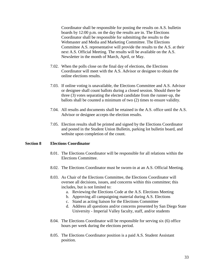Coordinator shall be responsible for posting the results on A.S. bulletin boards by 12:00 p.m. on the day the results are in. The Elections Coordinator shall be responsible for submitting the results to the Webmaster and Media and Marketing Committee. The Elections Committee A.S. representative will provide the results to the A.S. at their next A.S. Official Meeting. The results will be available on the A.S. Newsletter in the month of March, April, or May.

- 7.02. When the polls close on the final day of elections, the Elections Coordinator will meet with the A.S. Advisor or designee to obtain the online elections results.
- 7.03. If online voting is unavailable, the Elections Committee and A.S. Advisor or designee shall count ballots during a closed session. Should there be three (3) votes separating the elected candidate from the runner-up, the ballots shall be counted a minimum of two (2) times to ensure validity.
- 7.04. All results and documents shall be retained in the A.S. office until the A.S. Advisor or designee accepts the election results.
- 7.05. Election results shall be printed and signed by the Elections Coordinator and posted in the Student Union Bulletin, parking lot bulletin board, and website upon completion of the count.

#### **Section 8 Elections Coordinator**

- 8.01. The Elections Coordinator will be responsible for all relations within the Elections Committee.
- 8.02. The Elections Coordinator must be sworn-in at an A.S. Official Meeting.
- 8.03. As Chair of the Elections Committee, the Elections Coordinator will oversee all decisions, issues, and concerns within this committee; this includes, but is not limited to:
	- a. Reviewing the Elections Code at the A.S. Elections Meeting
	- b. Approving all campaigning material during A.S. Elections
	- c. Stand as acting liaison for the Elections Committee
	- d. Address all questions and/or concerns presented by San Diego State University - Imperial Valley faculty, staff, and/or students
- 8.04. The Elections Coordinator will be responsible for serving six (6) office hours per week during the elections period.
- 8.05. The Elections Coordinator position is a paid A.S. Student Assistant position.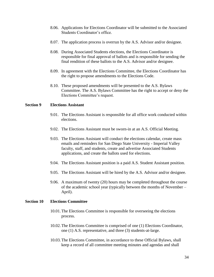- 8.06. Applications for Elections Coordinator will be submitted to the Associated Students Coordinator's office.
- 8.07. The application process is overrun by the A.S. Advisor and/or designee.
- 8.08. During Associated Students elections, the Elections Coordinator is responsible for final approval of ballots and is responsible for sending the final rendition of these ballots to the A.S. Advisor and/or designee.
- 8.09. In agreement with the Elections Committee, the Elections Coordinator has the right to propose amendments to the Elections Code.
- 8.10. These proposed amendments will be presented to the A.S. Bylaws Committee. The A.S. Bylaws Committee has the right to accept or deny the Elections Committee's request.

# **Section 9 Elections Assistant**

- 9.01. The Elections Assistant is responsible for all office work conducted within elections.
- 9.02. The Elections Assistant must be sworn-in at an A.S. Official Meeting.
- 9.03. The Elections Assistant will conduct the elections calendar, create mass emails and reminders for San Diego State University - Imperial Valley faculty, staff, and students, create and advertise Associated Students applications, and create the ballots used for elections.
- 9.04. The Elections Assistant position is a paid A.S. Student Assistant position.
- 9.05. The Elections Assistant will be hired by the A.S. Advisor and/or designee.
- 9.06. A maximum of twenty (20) hours may be completed throughout the course of the academic school year (typically between the months of November – April).

#### **Section 10 Elections Committee**

- 10.01.The Elections Committee is responsible for overseeing the elections process.
- 10.02.The Elections Committee is comprised of one (1) Elections Coordinator, one (1) A.S. representative, and three (3) students-at-large.
- 10.03.The Elections Committee, in accordance to these Official Bylaws, shall keep a record of all committee meeting minutes and agendas and shall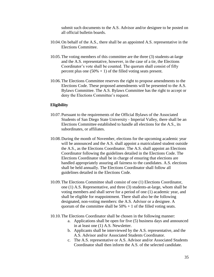submit such documents to the A.S. Advisor and/or designee to be posted on all official bulletin boards.

- 10.04.On behalf of the A.S., there shall be an appointed A.S. representative in the Elections Committee.
- 10.05.The voting members of this committee are the three (3) students-at-large and the A.S. representative, however, in the case of a tie, the Elections Coordinator's vote shall be counted. The quorum shall consist of fifty percent plus one  $(50\% + 1)$  of the filled voting seats present.
- 10.06.The Elections Committee reserves the right to propose amendments to the Elections Code. These proposed amendments will be presented to the A.S. Bylaws Committee. The A.S. Bylaws Committee has the right to accept or deny the Elections Committee's request.

#### **Eligibility**

- 10.07.Pursuant to the requirements of the Official Bylaws of the Associated Students of San Diego State University - Imperial Valley, there shall be an Elections Committee established to handle all elections for the A.S., its subordinates, or affiliates.
- 10.08.During the month of November, elections for the upcoming academic year will be announced and the A.S. shall appoint a matriculated student outside the A.S., as the Elections Coordinator. The A.S. shall appoint an Elections Coordinator following the guidelines detailed in the Elections Code. The Elections Coordinator shall be in charge of ensuring that elections are handled appropriately assuring all fairness to the candidates. A.S. elections shall be held annually. The Elections Coordinator shall follow all guidelines detailed in the Elections Code.
- 10.09.The Elections Committee shall consist of one (1) Elections Coordinator, one (1) A.S. Representative, and three (3) students-at-large, whom shall be voting members and shall serve for a period of one (1) academic year, and shall be eligible for reappointment. There shall also be the following designated, non-voting members: the A.S. Advisor or a designee. A quorum of the committee shall be  $50\% + 1$  of the filled voting seats.
- 10.10.The Elections Coordinator shall be chosen in the following manner:
	- a. Applications shall be open for five (5) business days and announced in at least one (1) A.S. Newsletter.
	- b. Applicants shall be interviewed by the A.S. representative, and the A.S. Advisor and/or Associated Students Coordinator.
	- c. The A.S. representative or A.S. Advisor and/or Associated Students Coordinator shall then inform the A.S. of the selected candidate.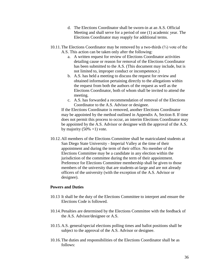- d. The Elections Coordinator shall be sworn-in at an A.S. Official Meeting and shall serve for a period of one (1) academic year. The Elections Coordinator may reapply for additional terms.
- 10.11.The Elections Coordinator may be removed by a two-thirds (⅔) vote of the A.S. This action can be taken only after the following:
	- a. A written request for review of Elections Coordinator activities detailing cause or reason for removal of the Elections Coordinator has been submitted to the A.S. (This document may include, but is not limited to, improper conduct or incompetence.)
	- b. A.S. has held a meeting to discuss the request for review and obtained information pertaining directly to the allegations within the request from both the authors of the request as well as the Elections Coordinator, both of whom shall be invited to attend the meeting.
	- c. A.S. has forwarded a recommendation of removal of the Elections Coordinator to the A.S. Advisor or designee.

If the Elections Coordinator is removed, another Elections Coordinator may be appointed by the method outlined in Appendix A, Section 8. If time does not permit this process to occur, an interim Elections Coordinator may be appointed by the A.S. Advisor or designee with the approval of the A.S. by majority  $(50\% +1)$  vote.

10.12.All members of the Elections Committee shall be matriculated students at San Diego State University - Imperial Valley at the time of their appointment and during the term of their office. No member of the Elections Committee may be a candidate in any election within the jurisdiction of the committee during the term of their appointment. Preference for Elections Committee membership shall be given to those members of the university that are students-at-large and are not already officers of the university (with the exception of the A.S. Advisor or designee).

# **Powers and Duties**

- 10.13 It shall be the duty of the Elections Committee to interpret and ensure the Elections Code is followed.
- 10.14.Penalties are determined by the Elections Committee with the feedback of the A.S. Advisor/designee or A.S.
- 10.15.A.S. general/special elections polling times and ballot positions shall be subject to the approval of the A.S. Advisor or designee.
- 10.16.The duties and responsibilities of the Elections Coordinator shall be as follows: